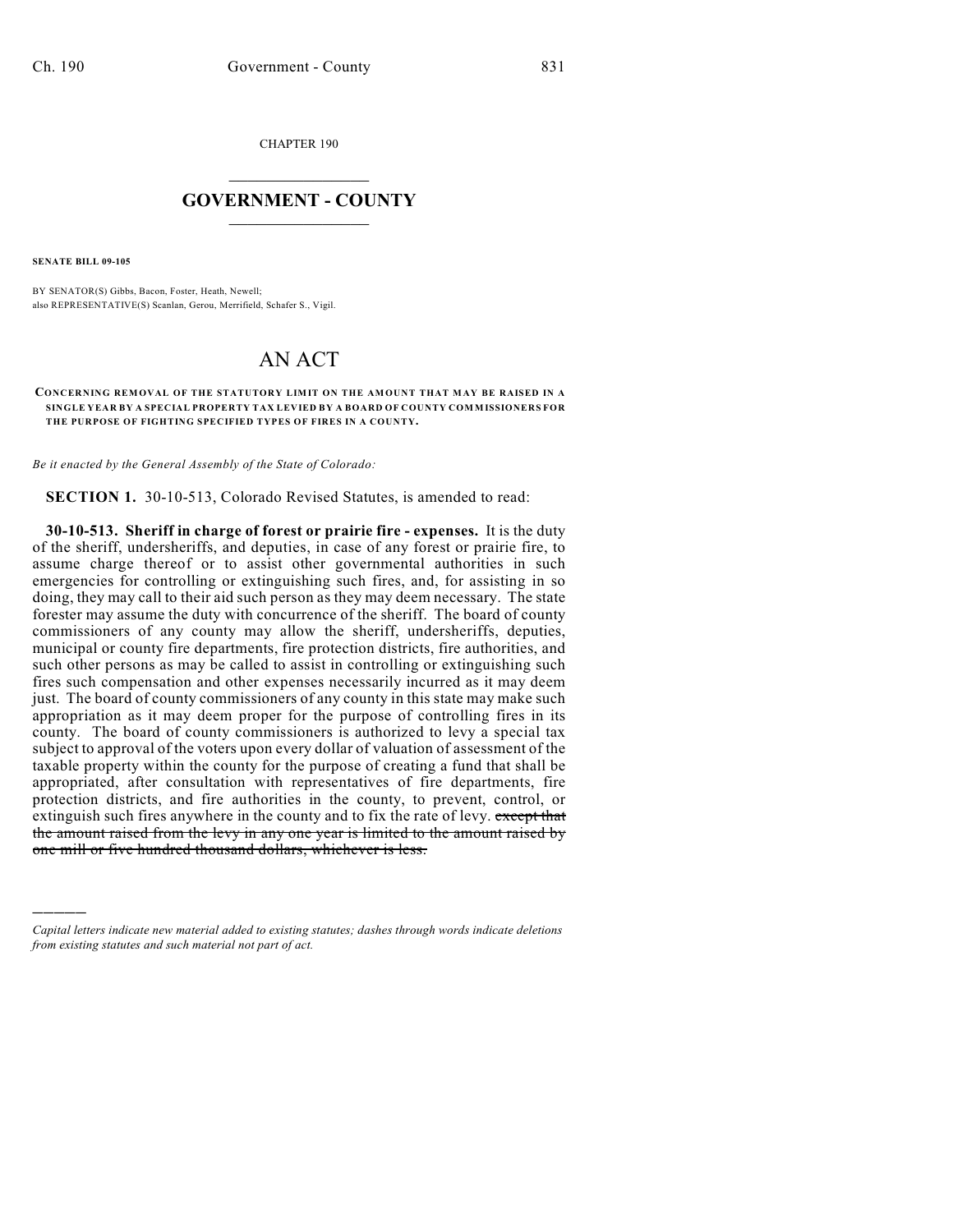CHAPTER 190

## $\overline{\phantom{a}}$  . The set of the set of the set of the set of the set of the set of the set of the set of the set of the set of the set of the set of the set of the set of the set of the set of the set of the set of the set o **GOVERNMENT - COUNTY**  $\_$

**SENATE BILL 09-105**

)))))

BY SENATOR(S) Gibbs, Bacon, Foster, Heath, Newell; also REPRESENTATIVE(S) Scanlan, Gerou, Merrifield, Schafer S., Vigil.

## AN ACT

## **CONCERNING REMOVAL OF THE STATUTORY LIMIT ON THE AMOUNT THAT MAY BE RAISED IN A SINGLE YEAR BY A SPECIAL PROPERTY TAX LEVIED BY A BOARD OF COUNTY COMMISSIONERS FOR THE PURPOSE OF FIGHTING SPECIFIED TYPES OF FIRES IN A COUNTY.**

*Be it enacted by the General Assembly of the State of Colorado:*

**SECTION 1.** 30-10-513, Colorado Revised Statutes, is amended to read:

**30-10-513. Sheriff in charge of forest or prairie fire - expenses.** It is the duty of the sheriff, undersheriffs, and deputies, in case of any forest or prairie fire, to assume charge thereof or to assist other governmental authorities in such emergencies for controlling or extinguishing such fires, and, for assisting in so doing, they may call to their aid such person as they may deem necessary. The state forester may assume the duty with concurrence of the sheriff. The board of county commissioners of any county may allow the sheriff, undersheriffs, deputies, municipal or county fire departments, fire protection districts, fire authorities, and such other persons as may be called to assist in controlling or extinguishing such fires such compensation and other expenses necessarily incurred as it may deem just. The board of county commissioners of any county in this state may make such appropriation as it may deem proper for the purpose of controlling fires in its county. The board of county commissioners is authorized to levy a special tax subject to approval of the voters upon every dollar of valuation of assessment of the taxable property within the county for the purpose of creating a fund that shall be appropriated, after consultation with representatives of fire departments, fire protection districts, and fire authorities in the county, to prevent, control, or extinguish such fires anywhere in the county and to fix the rate of levy. except that the amount raised from the levy in any one year is limited to the amount raised by one mill or five hundred thousand dollars, whichever is less.

*Capital letters indicate new material added to existing statutes; dashes through words indicate deletions from existing statutes and such material not part of act.*